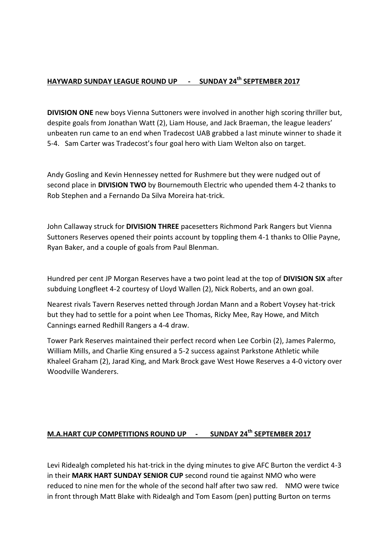## **HAYWARD SUNDAY LEAGUE ROUND UP - SUNDAY 24th SEPTEMBER 2017**

**DIVISION ONE** new boys Vienna Suttoners were involved in another high scoring thriller but, despite goals from Jonathan Watt (2), Liam House, and Jack Braeman, the league leaders' unbeaten run came to an end when Tradecost UAB grabbed a last minute winner to shade it 5-4. Sam Carter was Tradecost's four goal hero with Liam Welton also on target.

Andy Gosling and Kevin Hennessey netted for Rushmere but they were nudged out of second place in **DIVISION TWO** by Bournemouth Electric who upended them 4-2 thanks to Rob Stephen and a Fernando Da Silva Moreira hat-trick.

John Callaway struck for **DIVISION THREE** pacesetters Richmond Park Rangers but Vienna Suttoners Reserves opened their points account by toppling them 4-1 thanks to Ollie Payne, Ryan Baker, and a couple of goals from Paul Blenman.

Hundred per cent JP Morgan Reserves have a two point lead at the top of **DIVISION SIX** after subduing Longfleet 4-2 courtesy of Lloyd Wallen (2), Nick Roberts, and an own goal.

Nearest rivals Tavern Reserves netted through Jordan Mann and a Robert Voysey hat-trick but they had to settle for a point when Lee Thomas, Ricky Mee, Ray Howe, and Mitch Cannings earned Redhill Rangers a 4-4 draw.

Tower Park Reserves maintained their perfect record when Lee Corbin (2), James Palermo, William Mills, and Charlie King ensured a 5-2 success against Parkstone Athletic while Khaleel Graham (2), Jarad King, and Mark Brock gave West Howe Reserves a 4-0 victory over Woodville Wanderers.

## **M.A.HART CUP COMPETITIONS ROUND UP - SUNDAY 24th SEPTEMBER 2017**

Levi Ridealgh completed his hat-trick in the dying minutes to give AFC Burton the verdict 4-3 in their **MARK HART SUNDAY SENIOR CUP** second round tie against NMO who were reduced to nine men for the whole of the second half after two saw red. NMO were twice in front through Matt Blake with Ridealgh and Tom Easom (pen) putting Burton on terms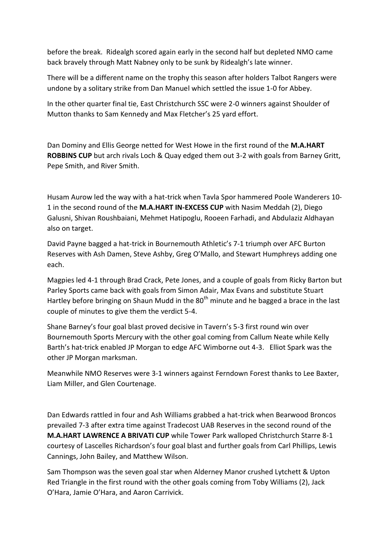before the break. Ridealgh scored again early in the second half but depleted NMO came back bravely through Matt Nabney only to be sunk by Ridealgh's late winner.

There will be a different name on the trophy this season after holders Talbot Rangers were undone by a solitary strike from Dan Manuel which settled the issue 1-0 for Abbey.

In the other quarter final tie, East Christchurch SSC were 2-0 winners against Shoulder of Mutton thanks to Sam Kennedy and Max Fletcher's 25 yard effort.

Dan Dominy and Ellis George netted for West Howe in the first round of the **M.A.HART ROBBINS CUP** but arch rivals Loch & Quay edged them out 3-2 with goals from Barney Gritt, Pepe Smith, and River Smith.

Husam Aurow led the way with a hat-trick when Tavla Spor hammered Poole Wanderers 10- 1 in the second round of the **M.A.HART IN-EXCESS CUP** with Nasim Meddah (2), Diego Galusni, Shivan Roushbaiani, Mehmet Hatipoglu, Rooeen Farhadi, and Abdulaziz Aldhayan also on target.

David Payne bagged a hat-trick in Bournemouth Athletic's 7-1 triumph over AFC Burton Reserves with Ash Damen, Steve Ashby, Greg O'Mallo, and Stewart Humphreys adding one each.

Magpies led 4-1 through Brad Crack, Pete Jones, and a couple of goals from Ricky Barton but Parley Sports came back with goals from Simon Adair, Max Evans and substitute Stuart Hartley before bringing on Shaun Mudd in the  $80<sup>th</sup>$  minute and he bagged a brace in the last couple of minutes to give them the verdict 5-4.

Shane Barney's four goal blast proved decisive in Tavern's 5-3 first round win over Bournemouth Sports Mercury with the other goal coming from Callum Neate while Kelly Barth's hat-trick enabled JP Morgan to edge AFC Wimborne out 4-3. Elliot Spark was the other JP Morgan marksman.

Meanwhile NMO Reserves were 3-1 winners against Ferndown Forest thanks to Lee Baxter, Liam Miller, and Glen Courtenage.

Dan Edwards rattled in four and Ash Williams grabbed a hat-trick when Bearwood Broncos prevailed 7-3 after extra time against Tradecost UAB Reserves in the second round of the **M.A.HART LAWRENCE A BRIVATI CUP** while Tower Park walloped Christchurch Starre 8-1 courtesy of Lascelles Richardson's four goal blast and further goals from Carl Phillips, Lewis Cannings, John Bailey, and Matthew Wilson.

Sam Thompson was the seven goal star when Alderney Manor crushed Lytchett & Upton Red Triangle in the first round with the other goals coming from Toby Williams (2), Jack O'Hara, Jamie O'Hara, and Aaron Carrivick.